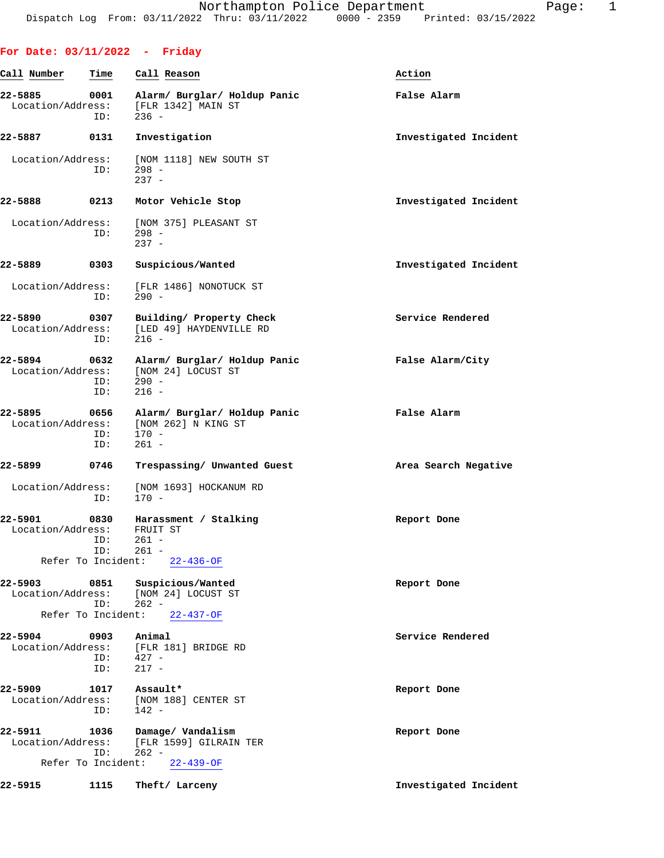## **For Date: 03/11/2022 - Friday**

| Call Number                                        | Time               | Call Reason                                                                                  | Action                |
|----------------------------------------------------|--------------------|----------------------------------------------------------------------------------------------|-----------------------|
| 22-5885<br>Location/Address:                       | 0001<br>ID:        | Alarm/ Burglar/ Holdup Panic<br>[FLR 1342] MAIN ST<br>$236 -$                                | False Alarm           |
| 22-5887                                            | 0131               | Investigation                                                                                | Investigated Incident |
| Location/Address:                                  | ID:                | [NOM 1118] NEW SOUTH ST<br>$298 -$<br>$237 -$                                                |                       |
| 22-5888                                            | 0213               | Motor Vehicle Stop                                                                           | Investigated Incident |
| Location/Address:                                  | ID:                | [NOM 375] PLEASANT ST<br>$298 -$<br>$237 -$                                                  |                       |
| 22-5889                                            | 0303               | Suspicious/Wanted                                                                            | Investigated Incident |
| Location/Address:                                  | ID:                | [FLR 1486] NONOTUCK ST<br>$290 -$                                                            |                       |
| 22-5890<br>Location/Address:                       | 0307<br>ID:        | Building/ Property Check<br>[LED 49] HAYDENVILLE RD<br>$216 -$                               | Service Rendered      |
| 22-5894<br>Location/Address:                       | 0632<br>ID:<br>ID: | Alarm/ Burglar/ Holdup Panic<br>[NOM 24] LOCUST ST<br>$290 -$<br>$216 -$                     | False Alarm/City      |
| 22-5895<br>Location/Address:                       | 0656<br>ID:<br>ID: | Alarm/ Burglar/ Holdup Panic<br>[NOM 262] N KING ST<br>$170 -$<br>$261 -$                    | False Alarm           |
| 22–5899                                            | 0746               | Trespassing/ Unwanted Guest                                                                  | Area Search Negative  |
| Location/Address:                                  | ID:                | [NOM 1693] HOCKANUM RD<br>$170 -$                                                            |                       |
| 22-5901<br>Location/Address:<br>Refer To Incident: | 0830<br>ID:        | Harassment / Stalking<br>FRUIT ST<br>$261 -$<br>ID: 261 -<br>$22 - 436 - OF$                 | Report Done           |
| 22-5903<br>Refer To Incident:                      | ID:                | 0851 Suspicious/Wanted<br>Location/Address: [NOM 24] LOCUST ST<br>$262 -$<br>$22 - 437 - OF$ | Report Done           |
| 22-5904                                            | 0903<br>ID:        | Animal<br>Location/Address: [FLR 181] BRIDGE RD<br>$ID: 427 -$<br>$217 -$                    | Service Rendered      |
| 22-5909<br>Location/Address:                       | 1017<br>ID:        | Assault*<br>[NOM 188] CENTER ST<br>$142 -$                                                   | Report Done           |
| 22-5911<br>Location/Address:                       | 1036<br>ID:        | Damage/ Vandalism<br>[FLR 1599] GILRAIN TER<br>$262 -$<br>Refer To Incident: 22-439-OF       | Report Done           |
| 22-5915                                            | 1115               | Theft/ Larceny                                                                               | Investigated Incident |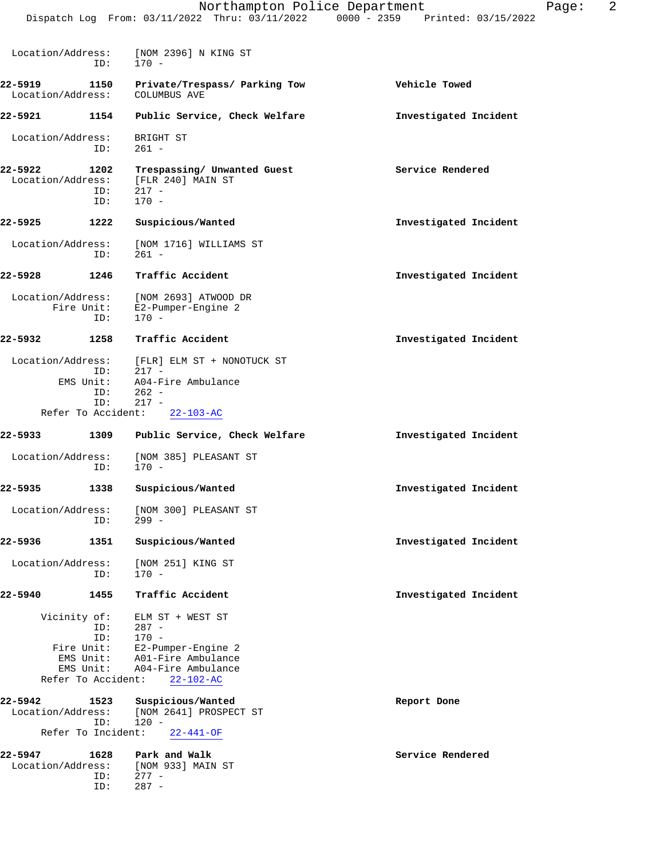|                              |                                                                                          | Northampton Police Department<br>Dispatch Log From: 03/11/2022 Thru: 03/11/2022 0000 - 2359 Printed: 03/15/2022             | 2<br>Page:            |
|------------------------------|------------------------------------------------------------------------------------------|-----------------------------------------------------------------------------------------------------------------------------|-----------------------|
|                              |                                                                                          |                                                                                                                             |                       |
| Location/Address:            | ID:                                                                                      | [NOM 2396] N KING ST<br>170 -                                                                                               |                       |
| 22-5919<br>Location/Address: | 1150                                                                                     | Private/Trespass/ Parking Tow<br>COLUMBUS AVE                                                                               | Vehicle Towed         |
| 22-5921                      | 1154                                                                                     | Public Service, Check Welfare                                                                                               | Investigated Incident |
| Location/Address:            | ID:                                                                                      | BRIGHT ST<br>$261 -$                                                                                                        |                       |
| 22-5922<br>Location/Address: | 1202<br>ID:<br>ID:                                                                       | Trespassing/ Unwanted Guest<br>[FLR 240] MAIN ST<br>$217 -$<br>$170 -$                                                      | Service Rendered      |
| $22 - 5925$                  | 1222                                                                                     | Suspicious/Wanted                                                                                                           | Investigated Incident |
| Location/Address:            | ID:                                                                                      | [NOM 1716] WILLIAMS ST<br>$261 -$                                                                                           |                       |
| 22-5928                      | 1246                                                                                     | Traffic Accident                                                                                                            | Investigated Incident |
| Location/Address:            | Fire Unit:<br>ID:                                                                        | [NOM 2693] ATWOOD DR<br>E2-Pumper-Engine 2<br>$170 -$                                                                       |                       |
| 22-5932                      | 1258                                                                                     | Traffic Accident                                                                                                            | Investigated Incident |
| Location/Address:            | ID:                                                                                      | [FLR] ELM ST + NONOTUCK ST<br>$217 -$                                                                                       |                       |
|                              | EMS Unit:<br>ID:<br>ID:                                                                  | A04-Fire Ambulance<br>$262 -$<br>$217 -$                                                                                    |                       |
|                              | Refer To Accident:                                                                       | $22 - 103 - AC$                                                                                                             |                       |
| $22 - 5933$                  | 1309                                                                                     | Public Service, Check Welfare                                                                                               | Investigated Incident |
| Location/Address:            | ID:                                                                                      | [NOM 385] PLEASANT ST<br>170 -                                                                                              |                       |
| 22-5935                      | 1338                                                                                     | Suspicious/Wanted                                                                                                           | Investigated Incident |
| Location/Address:            | ID:                                                                                      | [NOM 300] PLEASANT ST<br>$299 -$                                                                                            |                       |
| 22-5936                      | 1351                                                                                     | Suspicious/Wanted                                                                                                           | Investigated Incident |
| Location/Address:            | ID:                                                                                      | [NOM 251] KING ST<br>$170 -$                                                                                                |                       |
| 22-5940                      | 1455                                                                                     | Traffic Accident                                                                                                            | Investigated Incident |
|                              | Vicinity of:<br>ID:<br>ID:<br>Fire Unit:<br>EMS Unit:<br>EMS Unit:<br>Refer To Accident: | ELM ST + WEST ST<br>$287 -$<br>$170 -$<br>E2-Pumper-Engine 2<br>A01-Fire Ambulance<br>A04-Fire Ambulance<br>$22 - 102 - AC$ |                       |
| 22-5942<br>Location/Address: | 1523<br>ID:                                                                              | Suspicious/Wanted<br>[NOM 2641] PROSPECT ST<br>$120 -$                                                                      | Report Done           |
|                              | Refer To Incident:                                                                       | $22 - 441 - OF$                                                                                                             |                       |
| 22-5947<br>Location/Address: | 1628<br>ID:<br>ID:                                                                       | Park and Walk<br>[NOM 933] MAIN ST<br>$277 -$<br>$287 -$                                                                    | Service Rendered      |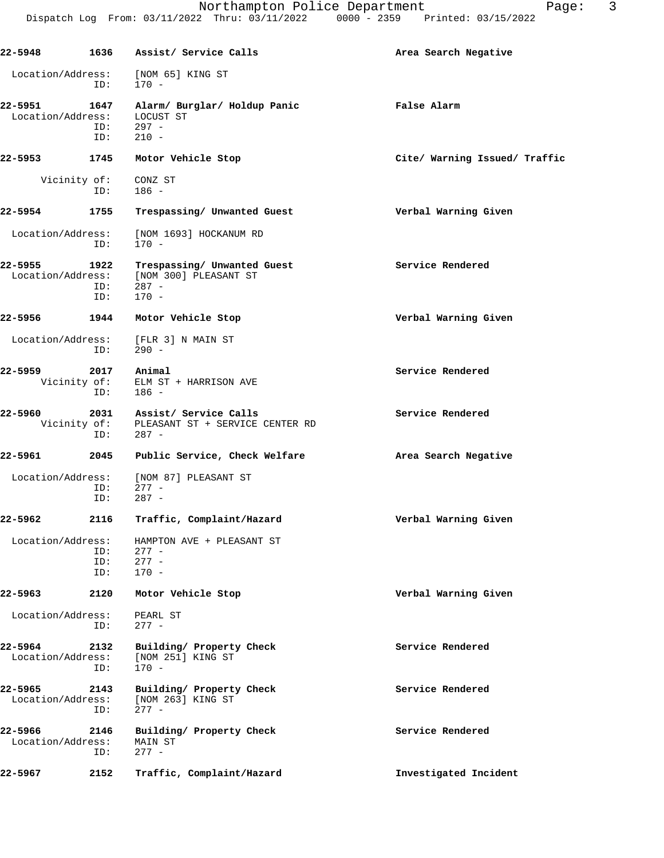| 22-5948                      |                             | 1636 Assist/ Service Calls                                                 | Area Search Negative          |
|------------------------------|-----------------------------|----------------------------------------------------------------------------|-------------------------------|
| Location/Address:            | ID:                         | [NOM 65] KING ST<br>$170 -$                                                |                               |
| 22-5951<br>Location/Address: | 1647<br>ID:<br>ID:          | Alarm/ Burglar/ Holdup Panic<br>LOCUST ST<br>$297 -$<br>$210 -$            | False Alarm                   |
| 22-5953                      | 1745                        | Motor Vehicle Stop                                                         | Cite/ Warning Issued/ Traffic |
| Vicinity of:                 | ID:                         | CONZ ST<br>$186 -$                                                         |                               |
| 22-5954                      | 1755                        | Trespassing/ Unwanted Guest                                                | Verbal Warning Given          |
| Location/Address:            | ID:                         | [NOM 1693] HOCKANUM RD<br>$170 -$                                          |                               |
| 22-5955<br>Location/Address: | 1922<br>ID:<br>ID:          | Trespassing/ Unwanted Guest<br>[NOM 300] PLEASANT ST<br>$287 -$<br>$170 -$ | Service Rendered              |
| 22-5956                      | 1944                        | Motor Vehicle Stop                                                         | Verbal Warning Given          |
| Location/Address:            | ID:                         | [FLR 3] N MAIN ST<br>290 -                                                 |                               |
| 22-5959                      | 2017<br>Vicinity of:<br>ID: | Animal<br>ELM ST + HARRISON AVE<br>186 -                                   | Service Rendered              |
| 22-5960<br>Vicinity of:      | 2031<br>ID:                 | Assist/ Service Calls<br>PLEASANT ST + SERVICE CENTER RD<br>$287 -$        | Service Rendered              |
| 22-5961                      | 2045                        | Public Service, Check Welfare                                              | Area Search Negative          |
| Location/Address:            | ID:<br>ID:                  | [NOM 87] PLEASANT ST<br>$277 -$<br>$287 -$                                 |                               |
| 22-5962                      | 2116                        | Traffic, Complaint/Hazard                                                  | Verbal Warning Given          |
| Location/Address:            | ID:<br>ID:<br>ID:           | HAMPTON AVE + PLEASANT ST<br>$277 -$<br>$277 -$<br>$170 -$                 |                               |
| 22-5963                      | 2120                        | Motor Vehicle Stop                                                         | Verbal Warning Given          |
| Location/Address:            | ID:                         | PEARL ST<br>$277 -$                                                        |                               |
| 22-5964<br>Location/Address: | 2132<br>ID:                 | Building/ Property Check<br>[NOM 251] KING ST<br>$170 -$                   | Service Rendered              |
| 22-5965<br>Location/Address: | 2143<br>ID:                 | Building/ Property Check<br>[NOM 263] KING ST<br>$277 -$                   | Service Rendered              |
| 22-5966<br>Location/Address: | 2146<br>ID:                 | Building/ Property Check<br>MAIN ST<br>$277 -$                             | Service Rendered              |
| 22-5967                      | 2152                        | Traffic, Complaint/Hazard                                                  | Investigated Incident         |